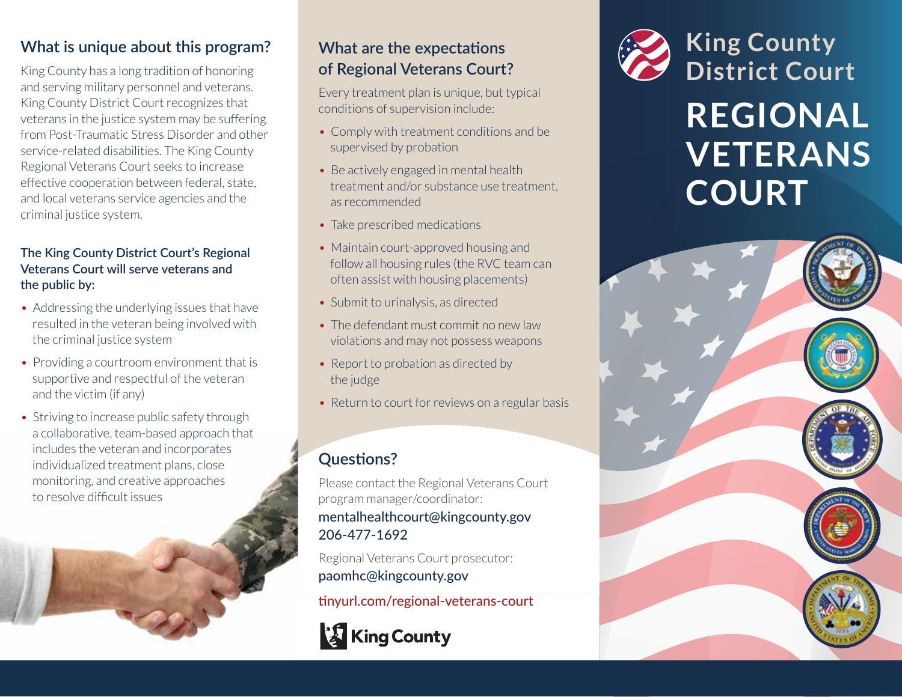#### **What is unique about this program?**

King County has a long tradition of honoring and serving military personnel and veterans. King County District Court recognizes that veterans in the justice system may be suffering from Post-Traumatic Stress Disorder and other service-related disabilities. The King County Regional Veterans Court seeks to increase effective cooperation between federal, state, and local veterans service agencies and the criminal justice system.

#### **The King County District Court's Regional Veterans Court will serve veterans and the public by:**

- Addressing the underlying issues that have resulted in the veteran being involved with the criminal justice system
- Providing a courtroom environment that is supportive and respectful of the veteran and the victim (if any)
- Striving to increase public safety through a collaborative, team-based approach that includes the veteran and incorporates individualized treatment plans, close monitoring, and creative approaches to resolve difficult issues

#### **What are the expectations of Regional Veterans Court?**

Every treatment plan is unique, but typical conditions of supervision include:

- Comply with treatment conditions and be supervised by probation
- Be actively engaged in mental health treatment and/or substance use treatment, as recommended
- Take prescribed medications
- Maintain court-approved housing and follow all housing rules (the RVC team can often assist with housing placements)
- Submit to urinalysis, as directed
- The defendant must commit no new law violations and may not possess weapons
- Report to probation as directed by the judge
- Return to court for reviews on a regular basis

## **Questions?**

Please contact the Regional Veterans Court program manager/coordinator: mentalhealthcourt@kingcounty.gov 206-477-1692

Regional Veterans Court prosecutor: paomhc@kingcounty.gov

tinyurl.com/regional-veterans-court





# **King County District Court**

# **REGIONAL VETERANS COURT**